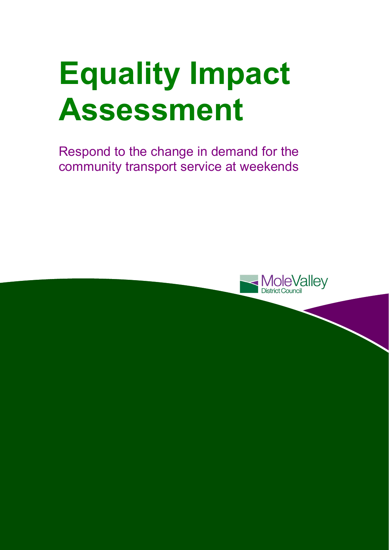# **Equality Impact Assessment**

Respond to the change in demand for the community transport service at weekends

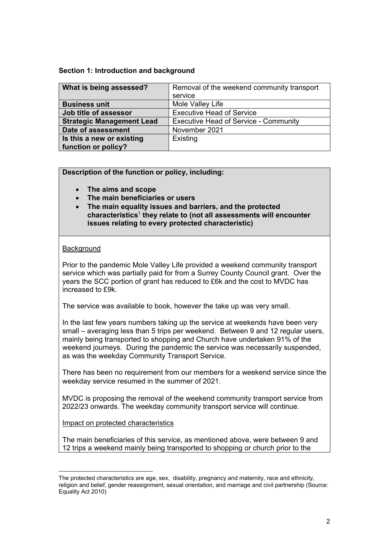#### **Section 1: Introduction and background**

| What is being assessed?          | Removal of the weekend community transport   |  |  |
|----------------------------------|----------------------------------------------|--|--|
|                                  | service                                      |  |  |
| <b>Business unit</b>             | Mole Valley Life                             |  |  |
| Job title of assessor            | <b>Executive Head of Service</b>             |  |  |
| <b>Strategic Management Lead</b> | <b>Executive Head of Service - Community</b> |  |  |
| Date of assessment               | November 2021                                |  |  |
| Is this a new or existing        | Existing                                     |  |  |
| function or policy?              |                                              |  |  |

**Description of the function or policy, including:** 

- **The aims and scope**
- **The main beneficiaries or users**
- **The main equality issues and barriers, and the protected characteristics**<sup>1</sup> **they relate to (not all assessments will encounter issues relating to every protected characteristic)**

# **Background**

l

Prior to the pandemic Mole Valley Life provided a weekend community transport service which was partially paid for from a Surrey County Council grant. Over the years the SCC portion of grant has reduced to £6k and the cost to MVDC has increased to £9k.

The service was available to book, however the take up was very small.

In the last few years numbers taking up the service at weekends have been very small – averaging less than 5 trips per weekend. Between 9 and 12 regular users, mainly being transported to shopping and Church have undertaken 91% of the weekend journeys. During the pandemic the service was necessarily suspended, as was the weekday Community Transport Service.

There has been no requirement from our members for a weekend service since the weekday service resumed in the summer of 2021.

MVDC is proposing the removal of the weekend community transport service from 2022/23 onwards. The weekday community transport service will continue.

# Impact on protected characteristics

The main beneficiaries of this service, as mentioned above, were between 9 and 12 trips a weekend mainly being transported to shopping or church prior to the

The protected characteristics are age, sex, disability, pregnancy and maternity, race and ethnicity, religion and belief, gender reassignment, sexual orientation, and marriage and civil partnership (Source: Equality Act 2010)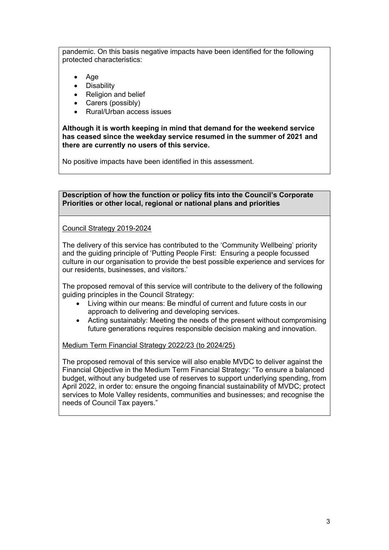pandemic. On this basis negative impacts have been identified for the following protected characteristics:

- Age
- Disability
- Religion and belief
- Carers (possibly)
- Rural/Urban access issues

**Although it is worth keeping in mind that demand for the weekend service has ceased since the weekday service resumed in the summer of 2021 and there are currently no users of this service.** 

No positive impacts have been identified in this assessment.

**Description of how the function or policy fits into the Council's Corporate Priorities or other local, regional or national plans and priorities** 

Council Strategy 2019-2024

The delivery of this service has contributed to the 'Community Wellbeing' priority and the guiding principle of 'Putting People First: Ensuring a people focussed culture in our organisation to provide the best possible experience and services for our residents, businesses, and visitors.'

The proposed removal of this service will contribute to the delivery of the following guiding principles in the Council Strategy:

- Living within our means: Be mindful of current and future costs in our approach to delivering and developing services.
- Acting sustainably: Meeting the needs of the present without compromising future generations requires responsible decision making and innovation.

Medium Term Financial Strategy 2022/23 (to 2024/25)

The proposed removal of this service will also enable MVDC to deliver against the Financial Objective in the Medium Term Financial Strategy: "To ensure a balanced budget, without any budgeted use of reserves to support underlying spending, from April 2022, in order to: ensure the ongoing financial sustainability of MVDC; protect services to Mole Valley residents, communities and businesses; and recognise the needs of Council Tax payers."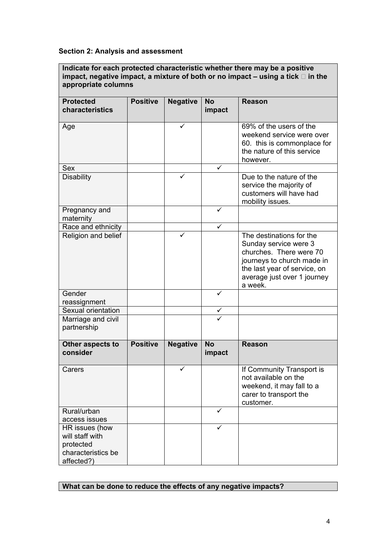#### **Section 2: Analysis and assessment**

**Indicate for each protected characteristic whether there may be a positive**  impact, negative impact, a mixture of both or no impact  $-$  using a tick  $\Box$  in the **appropriate columns** 

| <b>Protected</b><br>characteristics                                                | <b>Positive</b> | <b>Negative</b> | <b>No</b><br>impact | <b>Reason</b>                                                                                                                                                                        |  |
|------------------------------------------------------------------------------------|-----------------|-----------------|---------------------|--------------------------------------------------------------------------------------------------------------------------------------------------------------------------------------|--|
| Age                                                                                |                 | ✓               |                     | 69% of the users of the<br>weekend service were over<br>60. this is commonplace for<br>the nature of this service<br>however.                                                        |  |
| <b>Sex</b>                                                                         |                 |                 | ✓                   |                                                                                                                                                                                      |  |
| <b>Disability</b>                                                                  |                 |                 |                     | Due to the nature of the<br>service the majority of<br>customers will have had<br>mobility issues.                                                                                   |  |
| Pregnancy and<br>maternity                                                         |                 |                 | ✓                   |                                                                                                                                                                                      |  |
| Race and ethnicity                                                                 |                 |                 | $\checkmark$        |                                                                                                                                                                                      |  |
| Religion and belief                                                                |                 |                 |                     | The destinations for the<br>Sunday service were 3<br>churches. There were 70<br>journeys to church made in<br>the last year of service, on<br>average just over 1 journey<br>a week. |  |
| Gender                                                                             |                 |                 | ✓                   |                                                                                                                                                                                      |  |
| reassignment                                                                       |                 |                 |                     |                                                                                                                                                                                      |  |
| Sexual orientation                                                                 |                 |                 | ✓                   |                                                                                                                                                                                      |  |
| Marriage and civil<br>partnership                                                  |                 |                 |                     |                                                                                                                                                                                      |  |
| Other aspects to<br>consider                                                       | <b>Positive</b> | <b>Negative</b> | <b>No</b><br>impact | <b>Reason</b>                                                                                                                                                                        |  |
| Carers                                                                             |                 | ✓               |                     | If Community Transport is<br>not available on the<br>weekend, it may fall to a<br>carer to transport the<br>customer.                                                                |  |
| Rural/urban<br>access issues                                                       |                 |                 | ✓                   |                                                                                                                                                                                      |  |
| HR issues (how<br>will staff with<br>protected<br>characteristics be<br>affected?) |                 |                 | ✓                   |                                                                                                                                                                                      |  |

# **What can be done to reduce the effects of any negative impacts?**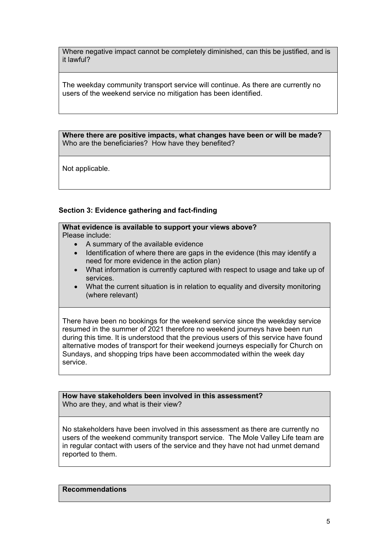Where negative impact cannot be completely diminished, can this be justified, and is it lawful?

The weekday community transport service will continue. As there are currently no users of the weekend service no mitigation has been identified.

**Where there are positive impacts, what changes have been or will be made?**  Who are the beneficiaries? How have they benefited?

Not applicable.

# **Section 3: Evidence gathering and fact-finding**

# **What evidence is available to support your views above?**

Please include:

- A summary of the available evidence
- Identification of where there are gaps in the evidence (this may identify a need for more evidence in the action plan)
- What information is currently captured with respect to usage and take up of services.
- What the current situation is in relation to equality and diversity monitoring (where relevant)

There have been no bookings for the weekend service since the weekday service resumed in the summer of 2021 therefore no weekend journeys have been run during this time. It is understood that the previous users of this service have found alternative modes of transport for their weekend journeys especially for Church on Sundays, and shopping trips have been accommodated within the week day service.

**How have stakeholders been involved in this assessment?**  Who are they, and what is their view?

No stakeholders have been involved in this assessment as there are currently no users of the weekend community transport service. The Mole Valley Life team are in regular contact with users of the service and they have not had unmet demand reported to them.

**Recommendations**